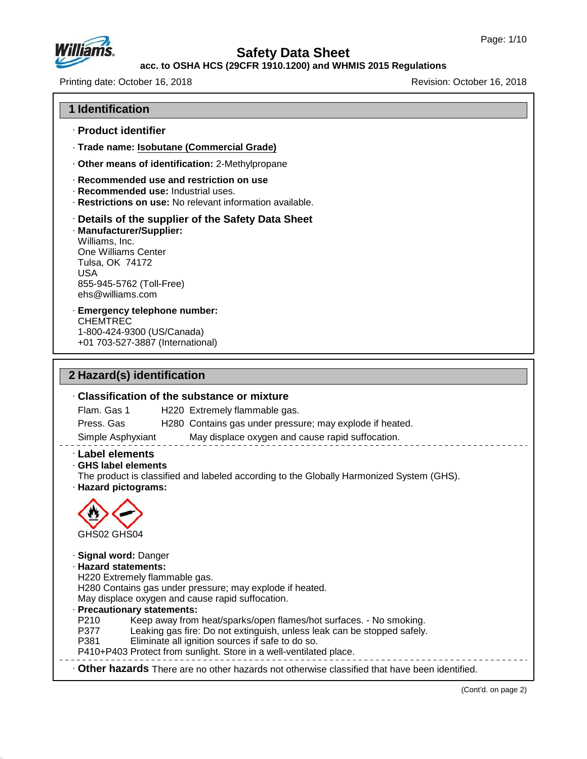

## **acc. to OSHA HCS (29CFR 1910.1200) and WHMIS 2015 Regulations**

Printing date: October 16, 2018 Revision: October 16, 2018

#### **1 Identification**

- · **Product identifier**
- · **Trade name: Isobutane (Commercial Grade)**
- · **Other means of identification:** 2-Methylpropane
- · **Recommended use and restriction on use**
- · **Recommended use:** Industrial uses.
- · **Restrictions on use:** No relevant information available.

#### · **Details of the supplier of the Safety Data Sheet**

· **Manufacturer/Supplier:** Williams, Inc. One Williams Center Tulsa, OK 74172 USA 855-945-5762 (Toll-Free) ehs@williams.com

#### · **Emergency telephone number:** CHEMTREC 1-800-424-9300 (US/Canada) +01 703-527-3887 (International)

## **2 Hazard(s) identification**

47.0.13

# · **Classification of the substance or mixture** Flam. Gas 1 H220 Extremely flammable gas. Press. Gas H280 Contains gas under pressure; may explode if heated. Simple Asphyxiant May displace oxygen and cause rapid suffocation. · **Label elements** · **GHS label elements** The product is classified and labeled according to the Globally Harmonized System (GHS). · **Hazard pictograms:** GHS02 GHS04 · **Signal word:** Danger · **Hazard statements:** H220 Extremely flammable gas. H280 Contains gas under pressure; may explode if heated. May displace oxygen and cause rapid suffocation. **Precautionary statements:**<br>P210 Keep away from P210 Keep away from heat/sparks/open flames/hot surfaces. - No smoking. Leaking gas fire: Do not extinguish, unless leak can be stopped safely. P381 Eliminate all ignition sources if safe to do so. P410+P403 Protect from sunlight. Store in a well-ventilated place. · **Other hazards** There are no other hazards nototherwise classified that have been identified.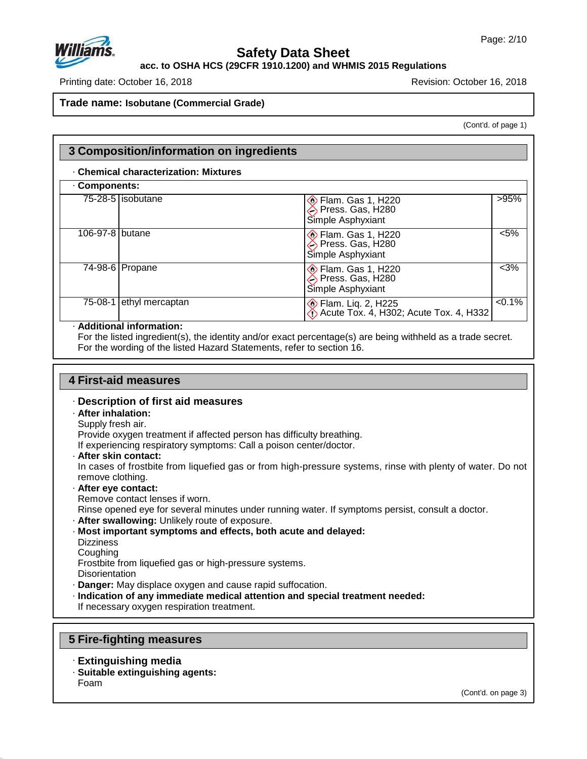

# **acc. to OSHA HCS (29CFR 1910.1200) and WHMIS 2015 Regulations**

Printing date: October 16, 2018 Revision: October 16, 2018

**Trade name: Isobutane (Commercial Grade)**

(Cont'd. of page 1)

|                    | <b>Chemical characterization: Mixtures</b> |                                                                          |           |  |  |  |  |
|--------------------|--------------------------------------------|--------------------------------------------------------------------------|-----------|--|--|--|--|
| <b>Components:</b> |                                            |                                                                          |           |  |  |  |  |
|                    | 75-28-5   isobutane                        | <b>Elam. Gas 1, H220</b><br>Press. Gas, H280<br>Simple Asphyxiant        | >95%      |  |  |  |  |
| 106-97-8 butane    |                                            | <b>Elam. Gas 1, H220</b><br>Press. Gas, H280<br>Simple Asphyxiant        | $< 5\%$   |  |  |  |  |
|                    | $\overline{74-98-6}$ Propane               | <b>Elam. Gas 1, H220</b><br>Press. Gas, H280<br>Simple Asphyxiant        | $<3\%$    |  |  |  |  |
| 75-08-1            | ethyl mercaptan                            | <b> ◆ Flam. Liq. 2, H225</b><br>◆ Acute Tox. 4, H302; Acute Tox. 4, H332 | $< 0.1\%$ |  |  |  |  |

### For the listed ingredient(s), the identity and/or exact percentage(s) are being withheld as a trade secret. For the wording of the listed Hazard Statements, refer to section 16.

# **4 First-aid measures**

#### · **Description of first aid measures**

# · **After inhalation:**

#### Supply fresh air.

Provide oxygen treatment if affected person has difficulty breathing.

If experiencing respiratory symptoms: Call a poison center/doctor.

· **After skin contact:**

In cases of frostbite from liquefied gas or from high-pressure systems, rinse with plenty of water. Do not remove clothing.

- · **After eye contact:**
- Remove contact lenses if worn.

Rinse opened eye for several minutes under running water. If symptoms persist, consult a doctor.

- · **After swallowing:** Unlikely route of exposure.
- · **Most important symptoms and effects, both acute and delayed: Dizziness**
- Coughing

47.0.13

Frostbite from liquefied gas or high-pressure systems.

- **Disorientation**
- · **Danger:** May displace oxygen and cause rapid suffocation.
- · **Indication of any immediate medical attention and special treatment needed:**

If necessary oxygen respiration treatment.

## **5 Fire-fighting measures**

- · **Extinguishing media**
- · **Suitable extinguishing agents:** Foam

(Cont'd. on page 3)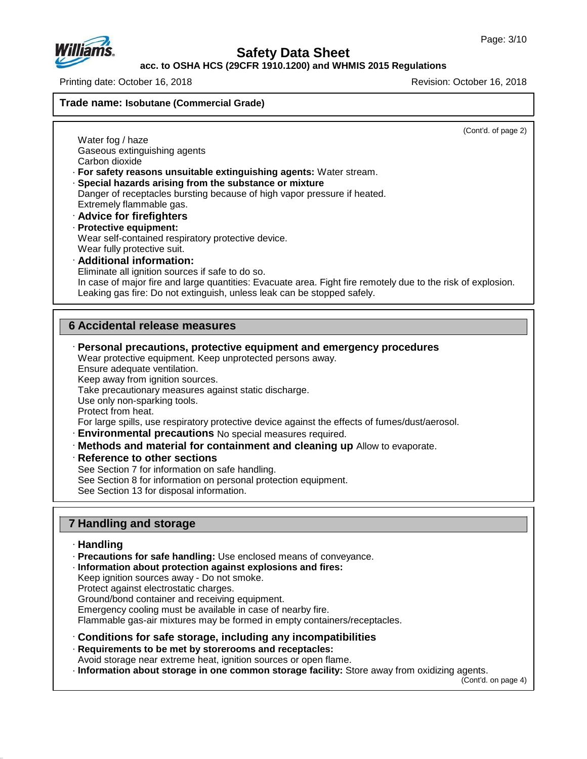

#### **acc. to OSHA HCS (29CFR 1910.1200) and WHMIS 2015 Regulations**

Printing date: October 16, 2018 Revision: October 16, 2018

**Trade name: Isobutane (Commercial Grade)**

(Cont'd. of page 2)

Water fog / haze Gaseous extinguishing agents Carbon dioxide

· **For safety reasons unsuitable extinguishing agents:** Water stream.

· **Special hazards arising from the substance or mixture**

Danger of receptacles bursting because of high vapor pressure if heated. Extremely flammable gas.

- · **Advice for firefighters**
- · **Protective equipment:** Wear self-contained respiratory protective device. Wear fully protective suit.
- · **Additional information:**

Eliminate all ignition sources if safe to do so.

In case of major fire and large quantities: Evacuate area. Fight fire remotely due to the risk of explosion. Leaking gas fire: Do not extinguish, unless leak can be stopped safely.

# **6 Accidental release measures**

· **Personal precautions, protective equipment and emergency procedures**

Wear protective equipment. Keep unprotected persons away.

Ensure adequate ventilation.

Keep away from ignition sources.

Take precautionary measures against static discharge.

Use only non-sparking tools.

Protect from heat.

For large spills, use respiratory protective device against the effects of fumes/dust/aerosol.

- · **Environmental precautions** No special measures required.
- · **Methods and material for containment and cleaning up** Allow to evaporate.
- · **Reference to other sections**

See Section 7 for information on safe handling.

See Section 8 for information on personal protection equipment.

See Section 13 for disposal information.

# **7 Handling and storage**

#### · **Handling**

47.0.13

· **Precautions for safe handling:** Use enclosed means of conveyance.

· **Information about protection against explosions and fires:**

Keep ignition sources away - Do not smoke.

Protect against electrostatic charges.

Ground/bond container and receiving equipment.

Emergency cooling must be available in case of nearby fire.

Flammable gas-air mixtures may be formed in empty containers/receptacles.

· **Conditions for safe storage, including any incompatibilities**

· **Requirements to be met by storerooms and receptacles:**

Avoid storage near extreme heat, ignition sources or open flame.

· **Information about storage in one common storage facility:** Store away from oxidizing agents.

(Cont'd. on page 4)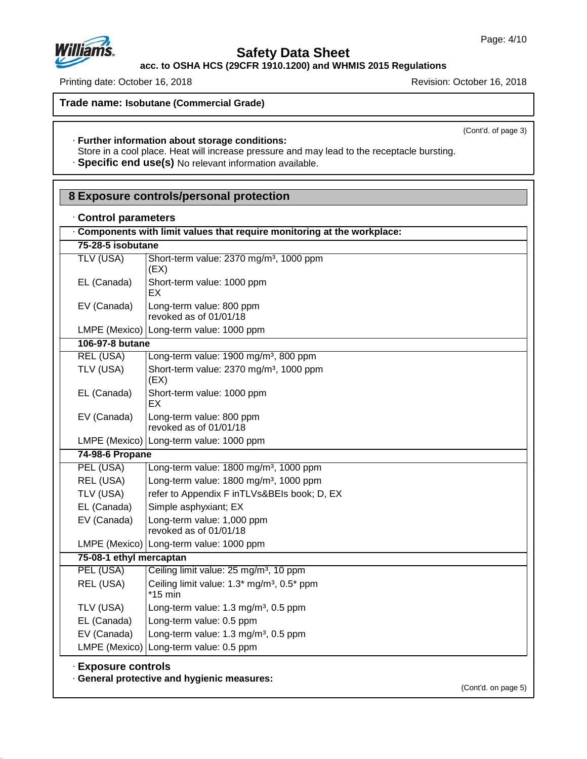# **Safety Data Sheet**

**acc. to OSHA HCS (29CFR 1910.1200) and WHMIS 2015 Regulations**

Printing date: October 16, 2018 **Printing date: October 16, 2018** 

**Trade name: Isobutane (Commercial Grade)**

(Cont'd. of page 3)

# · **Further information about storage conditions:**

Store in a cool place. Heat will increase pressure and may lead to the receptacle bursting.

· **Specific end use(s)** No relevant information available.

| Control parameters      |                                                                        |  |  |  |  |
|-------------------------|------------------------------------------------------------------------|--|--|--|--|
|                         | Components with limit values that require monitoring at the workplace: |  |  |  |  |
| 75-28-5 isobutane       |                                                                        |  |  |  |  |
| <b>TLV (USA)</b>        | Short-term value: 2370 mg/m <sup>3</sup> , 1000 ppm<br>(EX)            |  |  |  |  |
| EL (Canada)             | Short-term value: 1000 ppm<br>EХ                                       |  |  |  |  |
| EV (Canada)             | Long-term value: 800 ppm<br>revoked as of 01/01/18                     |  |  |  |  |
|                         | LMPE (Mexico)   Long-term value: 1000 ppm                              |  |  |  |  |
| 106-97-8 butane         |                                                                        |  |  |  |  |
| <b>REL (USA)</b>        | Long-term value: 1900 mg/m <sup>3</sup> , 800 ppm                      |  |  |  |  |
| TLV (USA)               | Short-term value: 2370 mg/m <sup>3</sup> , 1000 ppm<br>(EX)            |  |  |  |  |
| EL (Canada)             | Short-term value: 1000 ppm<br>EX.                                      |  |  |  |  |
| EV (Canada)             | Long-term value: 800 ppm<br>revoked as of 01/01/18                     |  |  |  |  |
| LMPE (Mexico)           | Long-term value: 1000 ppm                                              |  |  |  |  |
| 74-98-6 Propane         |                                                                        |  |  |  |  |
| PEL (USA)               | Long-term value: 1800 mg/m <sup>3</sup> , 1000 ppm                     |  |  |  |  |
| REL (USA)               | Long-term value: 1800 mg/m <sup>3</sup> , 1000 ppm                     |  |  |  |  |
| TLV (USA)               | refer to Appendix F inTLVs&BEIs book; D, EX                            |  |  |  |  |
| EL (Canada)             | Simple asphyxiant; EX                                                  |  |  |  |  |
| EV (Canada)             | Long-term value: 1,000 ppm<br>revoked as of 01/01/18                   |  |  |  |  |
|                         | LMPE (Mexico) Long-term value: 1000 ppm                                |  |  |  |  |
| 75-08-1 ethyl mercaptan |                                                                        |  |  |  |  |
| PEL (USA)               | Ceiling limit value: 25 mg/m <sup>3</sup> , 10 ppm                     |  |  |  |  |
| REL (USA)               | Ceiling limit value: 1.3* mg/m <sup>3</sup> , 0.5* ppm<br>$*15$ min    |  |  |  |  |
| TLV (USA)               | Long-term value: 1.3 mg/m <sup>3</sup> , 0.5 ppm                       |  |  |  |  |
| EL (Canada)             | Long-term value: 0.5 ppm                                               |  |  |  |  |
| EV (Canada)             | Long-term value: 1.3 mg/m <sup>3</sup> , 0.5 ppm                       |  |  |  |  |
|                         | LMPE (Mexico) Long-term value: 0.5 ppm                                 |  |  |  |  |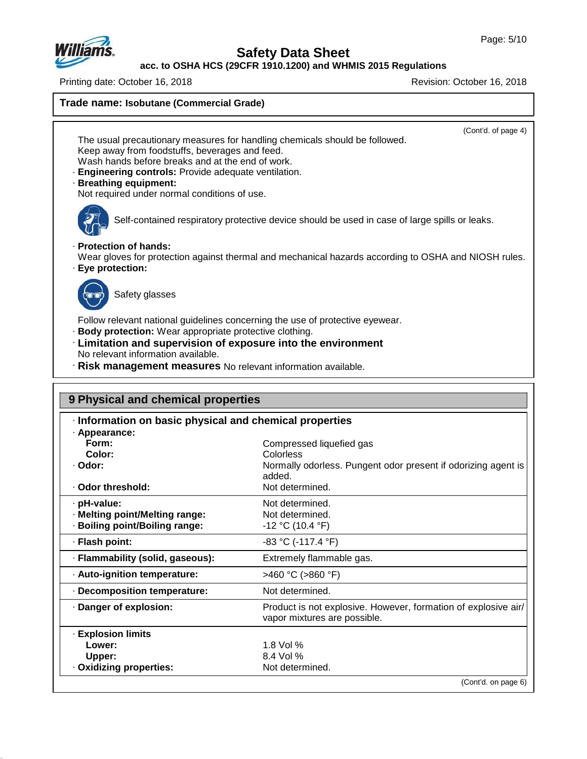

# **Safety Data Sheet**

**acc. to OSHA HCS (29CFR 1910.1200) and WHMIS 2015 Regulations**

Printing date: October 16, 2018 Revision: October 16, 2018

**Trade name: Isobutane (Commercial Grade)** (Cont'd. of page 4) The usual precautionary measures for handling chemicals should be followed. Keep away from foodstuffs, beverages and feed. Wash hands before breaks and at the end of work. · **Engineering controls:** Provide adequate ventilation. · **Breathing equipment:** Not required under normal conditions of use. Self-contained respiratory protective device should be used in case of large spills or leaks. · **Protection of hands:** Wear gloves for protection against thermal and mechanical hazards according to OSHA and NIOSH rules. · **Eye protection:** Safety glasses Follow relevant national guidelines concerning the use of protective eyewear. · **Body protection:** Wear appropriate protective clothing. · **Limitation and supervision of exposure into the environment** No relevant information available. · **Risk management measures** No relevant information available. **9 Physical and chemical properties** · **Information on basic physical and chemical properties** · **Appearance: Form:** Compressed liquefied gas<br> **Color:** Colorless **Color:** Colorless

| uului.<br>· Odor:                | UUIUIITOO<br>Normally odorless. Pungent odor present if odorizing agent is<br>added.           |
|----------------------------------|------------------------------------------------------------------------------------------------|
| · Odor threshold:                | Not determined.                                                                                |
| · pH-value:                      | Not determined.                                                                                |
| · Melting point/Melting range:   | Not determined.                                                                                |
| · Boiling point/Boiling range:   | $-12$ °C (10.4 °F)                                                                             |
| · Flash point:                   | $-83$ °C (-117.4 °F)                                                                           |
| · Flammability (solid, gaseous): | Extremely flammable gas.                                                                       |
| · Auto-ignition temperature:     | >460 °C (>860 °F)                                                                              |
| · Decomposition temperature:     | Not determined.                                                                                |
| · Danger of explosion:           | Product is not explosive. However, formation of explosive air/<br>vapor mixtures are possible. |
| <b>Explosion limits</b>          |                                                                                                |
| Lower:                           | 1.8 Vol $%$                                                                                    |
| Upper:                           | 8.4 Vol %                                                                                      |
| · Oxidizing properties:          | Not determined.                                                                                |
|                                  | (Cont'd. on page 6)                                                                            |
|                                  |                                                                                                |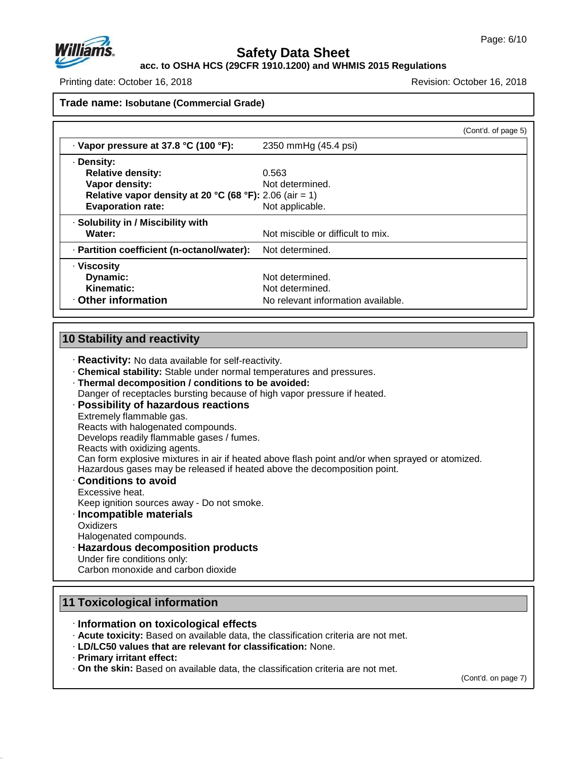

**acc. to OSHA HCS (29CFR 1910.1200) and WHMIS 2015 Regulations**

Printing date: October 16, 2018 Revision: October 16, 2018

#### **Trade name: Isobutane (Commercial Grade)**

|                                                         | (Cont'd. of page 5)                |  |
|---------------------------------------------------------|------------------------------------|--|
| · Vapor pressure at 37.8 °C (100 °F):                   | 2350 mmHg (45.4 psi)               |  |
| · Density:                                              |                                    |  |
| <b>Relative density:</b>                                | 0.563                              |  |
| Vapor density:                                          | Not determined.                    |  |
| Relative vapor density at 20 °C (68 °F): 2.06 (air = 1) |                                    |  |
| <b>Evaporation rate:</b>                                | Not applicable.                    |  |
| · Solubility in / Miscibility with                      |                                    |  |
| Water:                                                  | Not miscible or difficult to mix.  |  |
| · Partition coefficient (n-octanol/water):              | Not determined.                    |  |
| · Viscosity                                             |                                    |  |
| Dynamic:                                                | Not determined.                    |  |
| Kinematic:                                              | Not determined.                    |  |
| Other information                                       | No relevant information available. |  |

## **10 Stability and reactivity**

- · **Reactivity:** No data available for self-reactivity.
- · **Chemical stability:** Stable under normal temperatures and pressures.
- · **Thermal decomposition / conditions to be avoided:**
- Danger of receptacles bursting because of high vapor pressure if heated.

#### · **Possibility of hazardous reactions**

- Extremely flammable gas.
- Reacts with halogenated compounds.
- Develops readily flammable gases / fumes.
- Reacts with oxidizing agents.

Can form explosive mixtures in air if heated above flash point and/or when sprayed or atomized.

- Hazardous gases may be released if heated above the decomposition point.
- · **Conditions to avoid**
- Excessive heat. Keep ignition sources away - Do not smoke.

# · **Incompatible materials**

**Oxidizers** 

Halogenated compounds.

· **Hazardous decomposition products**

Under fire conditions only:

Carbon monoxide and carbon dioxide

# **11 Toxicological information**

#### · **Information on toxicological effects**

· **Acute toxicity:** Based on available data, the classification criteria are not met.

- · **LD/LC50 values that are relevant for classification:** None.
- · **Primary irritant effect:**

47.0.13

· **On the skin:** Based on available data, the classification criteria are not met.

(Cont'd. on page 7)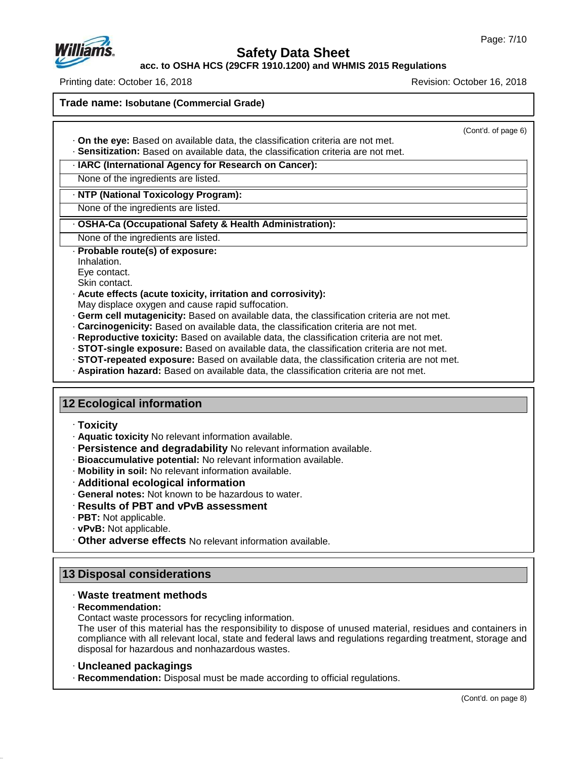

**acc. to OSHA HCS (29CFR 1910.1200) and WHMIS 2015 Regulations**

Printing date: October 16, 2018 Revision: October 16, 2018

**Trade name: Isobutane (Commercial Grade)**

(Cont'd. of page 6)

· **On the eye:** Based on available data, the classification criteria are not met. · **Sensitization:** Based on available data, the classification criteria are not met.

· **IARC (International Agency for Research on Cancer):**

None of the ingredients are listed.

· **NTP (National Toxicology Program):**

None of the ingredients are listed.

#### · **OSHA-Ca (Occupational Safety & Health Administration):**

None of the ingredients are listed.

#### · **Probable route(s) of exposure:**

Inhalation.

Eye contact.

Skin contact.

#### · **Acute effects (acute toxicity, irritation and corrosivity):**

May displace oxygen and cause rapid suffocation.

- · **Germ cell mutagenicity:** Based on available data, the classification criteria are not met.
- · **Carcinogenicity:** Based on available data, the classification criteria are not met.
- · **Reproductive toxicity:** Based on available data, the classification criteria are not met.
- · **STOT-single exposure:** Based on available data, the classification criteria are not met.
- · **STOT-repeated exposure:** Based on available data, the classification criteria are not met.
- · **Aspiration hazard:** Based on available data, the classification criteria are not met.

#### **12 Ecological information**

#### · **Toxicity**

- · **Aquatic toxicity** No relevant information available.
- · **Persistence and degradability** No relevant information available.
- · **Bioaccumulative potential:** No relevant information available.
- · **Mobility in soil:** No relevant information available.
- · **Additional ecological information**
- · **General notes:** Not known to be hazardous to water.
- · **Results of PBT and vPvB assessment**
- · **PBT:** Not applicable.
- · **vPvB:** Not applicable.
- · **Other adverse effects** No relevant information available.

# **13 Disposal considerations**

#### · **Waste treatment methods**

#### · **Recommendation:**

47.0.13

Contact waste processors for recycling information.

The user of this material has the responsibility to dispose of unused material, residues and containers in compliance with all relevant local, state and federal laws and regulations regarding treatment, storage and disposal for hazardous and nonhazardous wastes.

#### · **Uncleaned packagings**

· **Recommendation:** Disposal must be made according to official regulations.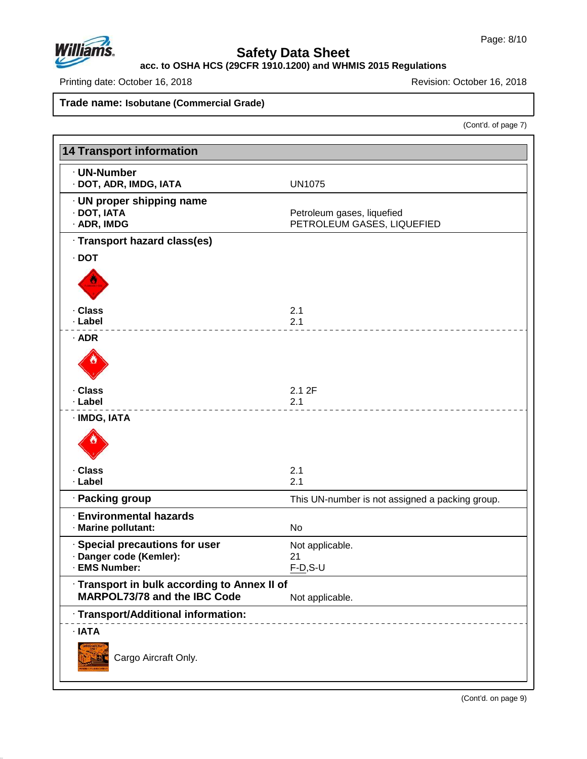

# **Safety Data Sheet**

**acc. to OSHA HCS (29CFR 1910.1200) and WHMIS 2015 Regulations**

Printing date: October 16, 2018 **Printing date: October 16, 2018** Revision: October 16, 2018

**Trade name: Isobutane (Commercial Grade)**

(Cont'd. of page 7)

| <b>14 Transport information</b>                         |                                                          |
|---------------------------------------------------------|----------------------------------------------------------|
| · UN-Number<br>· DOT, ADR, IMDG, IATA                   | <b>UN1075</b>                                            |
| · UN proper shipping name<br>· DOT, IATA<br>· ADR, IMDG | Petroleum gases, liquefied<br>PETROLEUM GASES, LIQUEFIED |
| · Transport hazard class(es)                            |                                                          |
| $\cdot$ DOT                                             |                                                          |
|                                                         |                                                          |
| · Class                                                 | 2.1                                                      |
| · Label                                                 | 2.1                                                      |
| $·$ ADR                                                 |                                                          |
| · Class<br>· Label                                      | 2.12F<br>2.1                                             |
| · IMDG, IATA                                            |                                                          |
|                                                         |                                                          |
| · Class<br>· Label                                      | 2.1                                                      |
|                                                         | 2.1                                                      |
| · Packing group                                         | This UN-number is not assigned a packing group.          |
| <b>Environmental hazards</b><br>· Marine pollutant:     | No                                                       |
| · Special precautions for user                          | Not applicable.                                          |
| · Danger code (Kemler):<br>· EMS Number:                | 21<br>$F-D, S-U$                                         |
| · Transport in bulk according to Annex II of            |                                                          |
| <b>MARPOL73/78 and the IBC Code</b>                     | Not applicable.                                          |
| · Transport/Additional information:                     |                                                          |
| · IATA                                                  |                                                          |
| Cargo Aircraft Only.                                    |                                                          |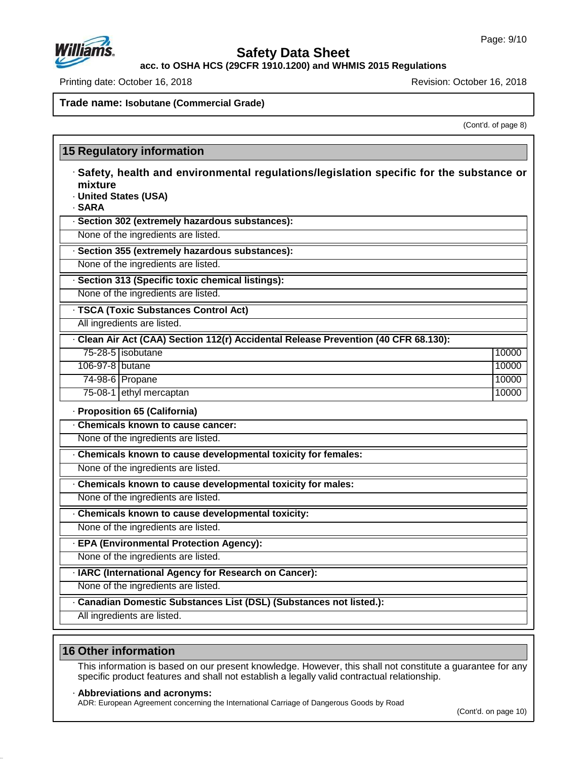

**acc. to OSHA HCS (29CFR 1910.1200) and WHMIS 2015 Regulations**

Printing date: October 16, 2018 Revision: October 16, 2018

#### **Trade name: Isobutane (Commercial Grade)**

(Cont'd. of page 8)

# **15 Regulatory information**

- · **Safety, health and environmental regulations/legislation specific for the substance or mixture**
- · **United States (USA)**

· **SARA**

· **Section 302 (extremely hazardous substances):**

None of the ingredients are listed.

· **Section 355 (extremely hazardous substances):**

None of the ingredients are listed.

· **Section 313 (Specific toxic chemical listings):**

None of the ingredients are listed.

· **TSCA (Toxic Substances Control Act)**

All ingredients are listed.

· **Clean AirAct (CAA) Section 112(r) Accidental Release Prevention (40 CFR 68.130):**

| 75-28-5   isobutane     | 10000 |
|-------------------------|-------|
| 106-97-8 butane         | 10000 |
| 74-98-6 <b>Propane</b>  | 10000 |
| 75-08-1 ethyl mercaptan | 10000 |

· **Proposition 65 (California)**

· **Chemicals known to cause cancer:** None of the ingredients are listed.

· **Chemicals known to cause developmental toxicity for females:**

None of the ingredients are listed.

· **Chemicals known to cause developmental toxicity for males:**

None of the ingredients are listed.

· **Chemicals known to cause developmental toxicity:**

None of the ingredients are listed.

· **EPA (Environmental Protection Agency):**

None of the ingredients are listed.

· **IARC (International Agency for Research on Cancer):**

None of the ingredients are listed.

· **Canadian Domestic Substances List (DSL) (Substances not listed.):**

All ingredients are listed.

#### **16 Other information**

47.0.13

This information is based on our present knowledge. However, this shall not constitute a guarantee for any specific product features and shall not establish a legally valid contractual relationship.

#### · **Abbreviations and acronyms:**

ADR: European Agreement concerning the International Carriage of Dangerous Goods by Road